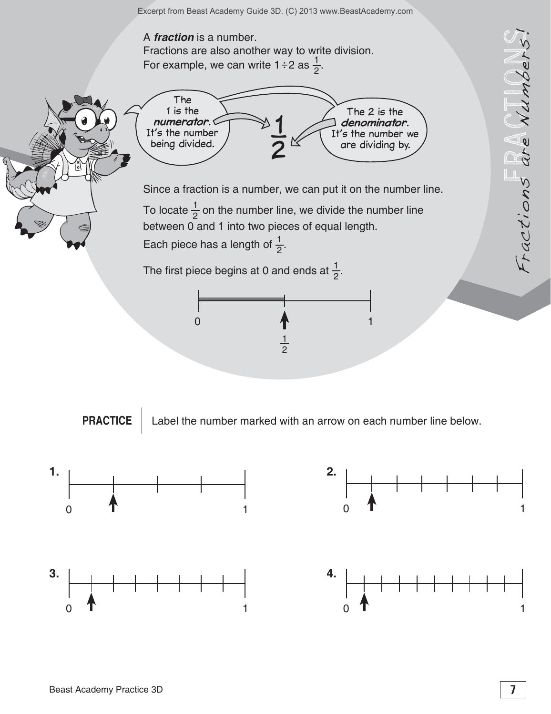

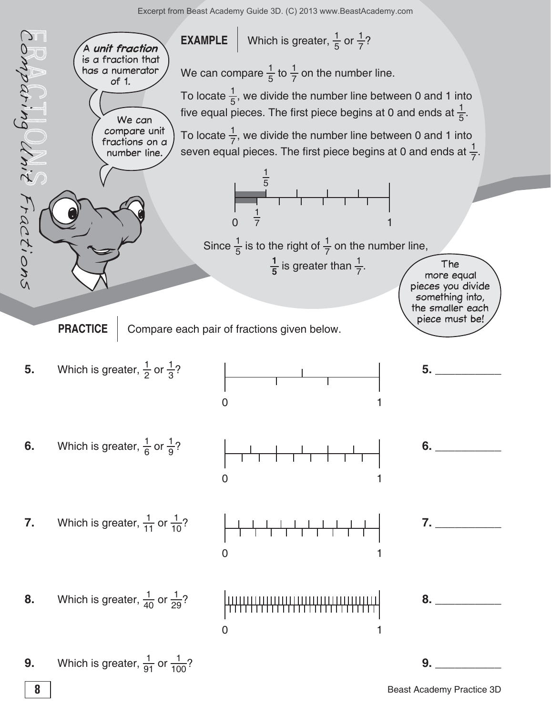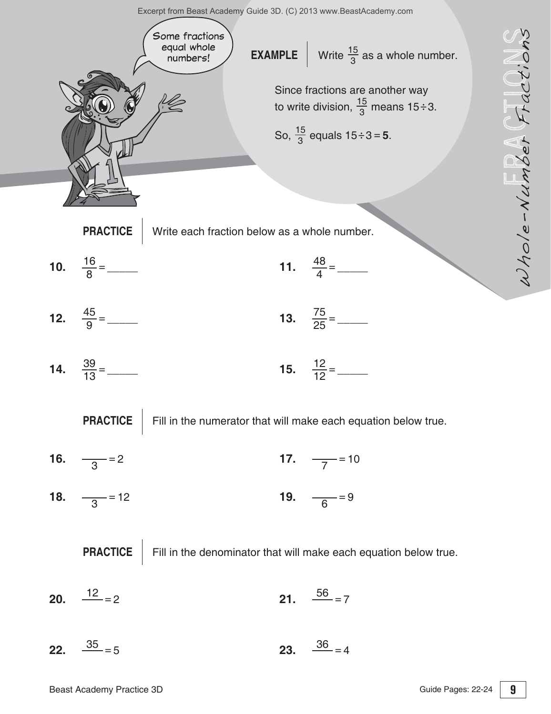